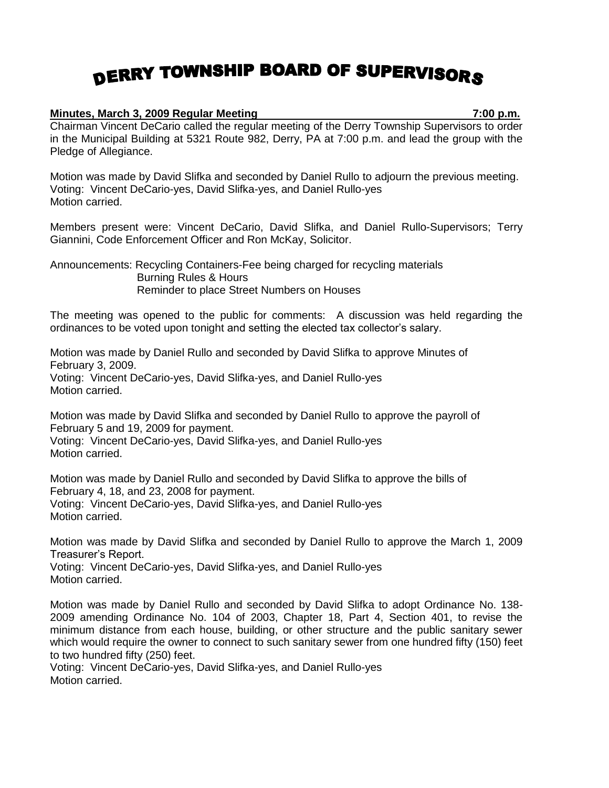## DERRY TOWNSHIP BOARD OF SUPERVISORS

## **Minutes, March 3, 2009 Regular Meeting 7:00 p.m.**

Chairman Vincent DeCario called the regular meeting of the Derry Township Supervisors to order in the Municipal Building at 5321 Route 982, Derry, PA at 7:00 p.m. and lead the group with the Pledge of Allegiance.

Motion was made by David Slifka and seconded by Daniel Rullo to adjourn the previous meeting. Voting: Vincent DeCario-yes, David Slifka-yes, and Daniel Rullo-yes Motion carried.

Members present were: Vincent DeCario, David Slifka, and Daniel Rullo-Supervisors; Terry Giannini, Code Enforcement Officer and Ron McKay, Solicitor.

Announcements: Recycling Containers-Fee being charged for recycling materials Burning Rules & Hours Reminder to place Street Numbers on Houses

The meeting was opened to the public for comments: A discussion was held regarding the ordinances to be voted upon tonight and setting the elected tax collector's salary.

Motion was made by Daniel Rullo and seconded by David Slifka to approve Minutes of February 3, 2009. Voting: Vincent DeCario-yes, David Slifka-yes, and Daniel Rullo-yes Motion carried.

Motion was made by David Slifka and seconded by Daniel Rullo to approve the payroll of February 5 and 19, 2009 for payment.

Voting: Vincent DeCario-yes, David Slifka-yes, and Daniel Rullo-yes Motion carried.

Motion was made by Daniel Rullo and seconded by David Slifka to approve the bills of February 4, 18, and 23, 2008 for payment. Voting: Vincent DeCario-yes, David Slifka-yes, and Daniel Rullo-yes Motion carried.

Motion was made by David Slifka and seconded by Daniel Rullo to approve the March 1, 2009 Treasurer's Report.

Voting: Vincent DeCario-yes, David Slifka-yes, and Daniel Rullo-yes Motion carried.

Motion was made by Daniel Rullo and seconded by David Slifka to adopt Ordinance No. 138- 2009 amending Ordinance No. 104 of 2003, Chapter 18, Part 4, Section 401, to revise the minimum distance from each house, building, or other structure and the public sanitary sewer which would require the owner to connect to such sanitary sewer from one hundred fifty (150) feet to two hundred fifty (250) feet.

Voting: Vincent DeCario-yes, David Slifka-yes, and Daniel Rullo-yes Motion carried.